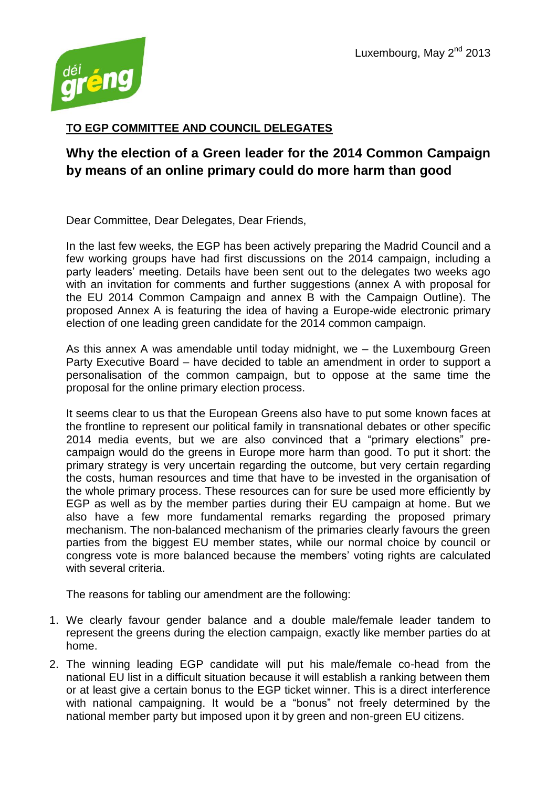

## **TO EGP COMMITTEE AND COUNCIL DELEGATES**

## **Why the election of a Green leader for the 2014 Common Campaign by means of an online primary could do more harm than good**

Dear Committee, Dear Delegates, Dear Friends,

In the last few weeks, the EGP has been actively preparing the Madrid Council and a few working groups have had first discussions on the 2014 campaign, including a party leaders' meeting. Details have been sent out to the delegates two weeks ago with an invitation for comments and further suggestions (annex A with proposal for the EU 2014 Common Campaign and annex B with the Campaign Outline). The proposed Annex A is featuring the idea of having a Europe-wide electronic primary election of one leading green candidate for the 2014 common campaign.

As this annex A was amendable until today midnight, we – the Luxembourg Green Party Executive Board – have decided to table an amendment in order to support a personalisation of the common campaign, but to oppose at the same time the proposal for the online primary election process.

It seems clear to us that the European Greens also have to put some known faces at the frontline to represent our political family in transnational debates or other specific 2014 media events, but we are also convinced that a "primary elections" precampaign would do the greens in Europe more harm than good. To put it short: the primary strategy is very uncertain regarding the outcome, but very certain regarding the costs, human resources and time that have to be invested in the organisation of the whole primary process. These resources can for sure be used more efficiently by EGP as well as by the member parties during their EU campaign at home. But we also have a few more fundamental remarks regarding the proposed primary mechanism. The non-balanced mechanism of the primaries clearly favours the green parties from the biggest EU member states, while our normal choice by council or congress vote is more balanced because the members' voting rights are calculated with several criteria.

The reasons for tabling our amendment are the following:

- 1. We clearly favour gender balance and a double male/female leader tandem to represent the greens during the election campaign, exactly like member parties do at home.
- 2. The winning leading EGP candidate will put his male/female co-head from the national EU list in a difficult situation because it will establish a ranking between them or at least give a certain bonus to the EGP ticket winner. This is a direct interference with national campaigning. It would be a "bonus" not freely determined by the national member party but imposed upon it by green and non-green EU citizens.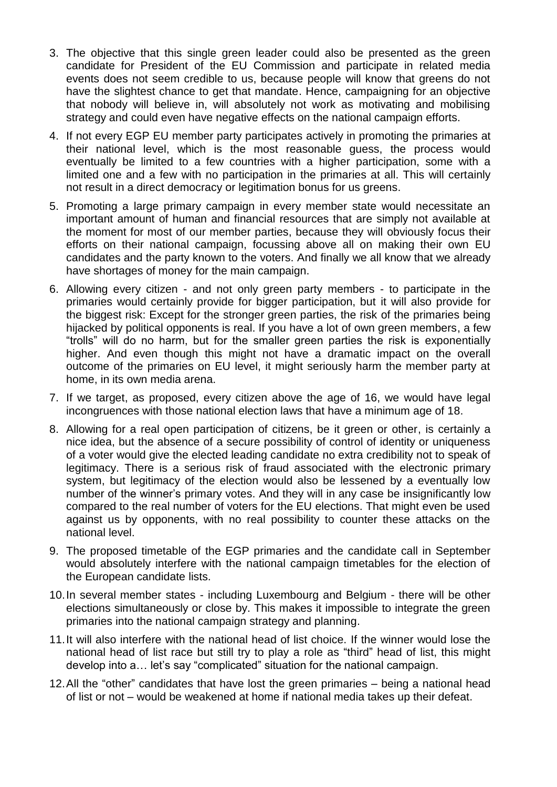- 3. The objective that this single green leader could also be presented as the green candidate for President of the EU Commission and participate in related media events does not seem credible to us, because people will know that greens do not have the slightest chance to get that mandate. Hence, campaigning for an objective that nobody will believe in, will absolutely not work as motivating and mobilising strategy and could even have negative effects on the national campaign efforts.
- 4. If not every EGP EU member party participates actively in promoting the primaries at their national level, which is the most reasonable guess, the process would eventually be limited to a few countries with a higher participation, some with a limited one and a few with no participation in the primaries at all. This will certainly not result in a direct democracy or legitimation bonus for us greens.
- 5. Promoting a large primary campaign in every member state would necessitate an important amount of human and financial resources that are simply not available at the moment for most of our member parties, because they will obviously focus their efforts on their national campaign, focussing above all on making their own EU candidates and the party known to the voters. And finally we all know that we already have shortages of money for the main campaign.
- 6. Allowing every citizen and not only green party members to participate in the primaries would certainly provide for bigger participation, but it will also provide for the biggest risk: Except for the stronger green parties, the risk of the primaries being hijacked by political opponents is real. If you have a lot of own green members, a few "trolls" will do no harm, but for the smaller green parties the risk is exponentially higher. And even though this might not have a dramatic impact on the overall outcome of the primaries on EU level, it might seriously harm the member party at home, in its own media arena.
- 7. If we target, as proposed, every citizen above the age of 16, we would have legal incongruences with those national election laws that have a minimum age of 18.
- 8. Allowing for a real open participation of citizens, be it green or other, is certainly a nice idea, but the absence of a secure possibility of control of identity or uniqueness of a voter would give the elected leading candidate no extra credibility not to speak of legitimacy. There is a serious risk of fraud associated with the electronic primary system, but legitimacy of the election would also be lessened by a eventually low number of the winner's primary votes. And they will in any case be insignificantly low compared to the real number of voters for the EU elections. That might even be used against us by opponents, with no real possibility to counter these attacks on the national level.
- 9. The proposed timetable of the EGP primaries and the candidate call in September would absolutely interfere with the national campaign timetables for the election of the European candidate lists.
- 10.In several member states including Luxembourg and Belgium there will be other elections simultaneously or close by. This makes it impossible to integrate the green primaries into the national campaign strategy and planning.
- 11.It will also interfere with the national head of list choice. If the winner would lose the national head of list race but still try to play a role as "third" head of list, this might develop into a… let's say "complicated" situation for the national campaign.
- 12.All the "other" candidates that have lost the green primaries being a national head of list or not – would be weakened at home if national media takes up their defeat.